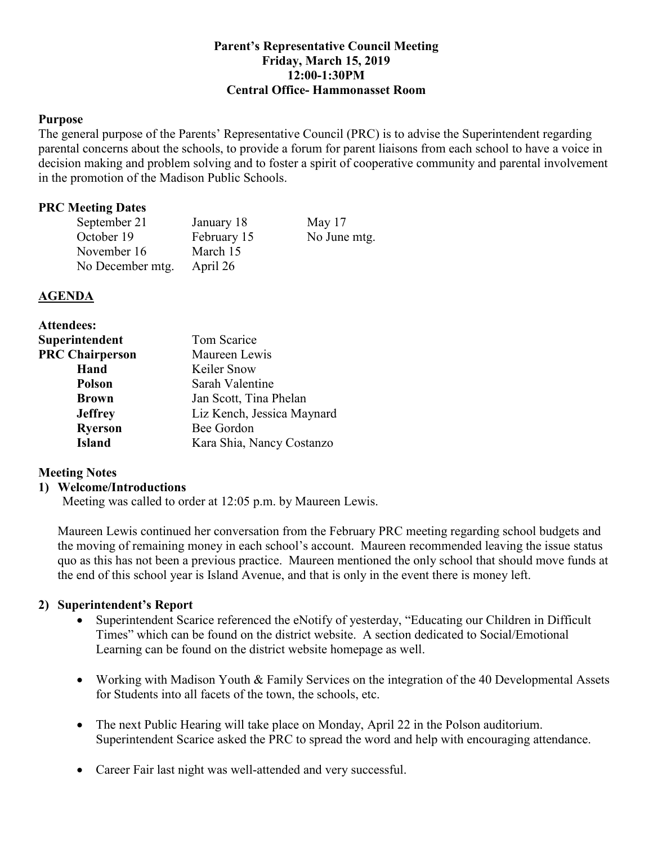## **Parent's Representative Council Meeting Friday, March 15, 2019 12:00-1:30PM Central Office- Hammonasset Room**

### **Purpose**

The general purpose of the Parents' Representative Council (PRC) is to advise the Superintendent regarding parental concerns about the schools, to provide a forum for parent liaisons from each school to have a voice in decision making and problem solving and to foster a spirit of cooperative community and parental involvement in the promotion of the Madison Public Schools.

#### **PRC Meeting Dates**

| September 21     | January 18  | May $17$     |
|------------------|-------------|--------------|
| October 19       | February 15 | No June mtg. |
| November 16      | March 15    |              |
| No December mtg. | April 26    |              |

### **AGENDA**

| <b>Attendees:</b>      |                            |  |
|------------------------|----------------------------|--|
| Superintendent         | Tom Scarice                |  |
| <b>PRC Chairperson</b> | Maureen Lewis              |  |
| Hand                   | Keiler Snow                |  |
| <b>Polson</b>          | Sarah Valentine            |  |
| <b>Brown</b>           | Jan Scott, Tina Phelan     |  |
| <b>Jeffrey</b>         | Liz Kench, Jessica Maynard |  |
| <b>Ryerson</b>         | Bee Gordon                 |  |
| <b>Island</b>          | Kara Shia, Nancy Costanzo  |  |

# **Meeting Notes**

### **1) Welcome/Introductions**

Meeting was called to order at 12:05 p.m. by Maureen Lewis.

Maureen Lewis continued her conversation from the February PRC meeting regarding school budgets and the moving of remaining money in each school's account. Maureen recommended leaving the issue status quo as this has not been a previous practice. Maureen mentioned the only school that should move funds at the end of this school year is Island Avenue, and that is only in the event there is money left.

### **2) Superintendent's Report**

- Superintendent Scarice referenced the eNotify of yesterday, "Educating our Children in Difficult Times" which can be found on the district website. A section dedicated to Social/Emotional Learning can be found on the district website homepage as well.
- Working with Madison Youth & Family Services on the integration of the 40 Developmental Assets for Students into all facets of the town, the schools, etc.
- The next Public Hearing will take place on Monday, April 22 in the Polson auditorium. Superintendent Scarice asked the PRC to spread the word and help with encouraging attendance.
- Career Fair last night was well-attended and very successful.